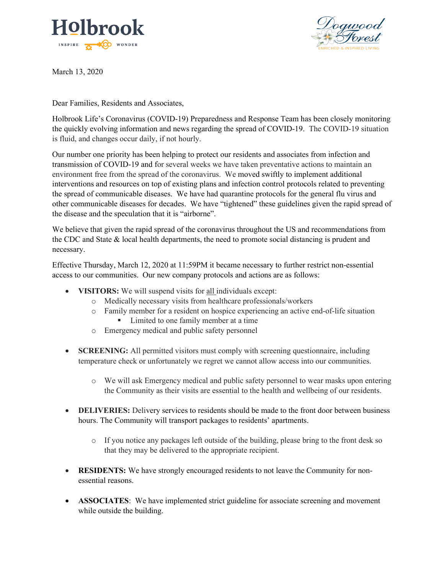



March 13, 2020

Dear Families, Residents and Associates,

Holbrook Life's Coronavirus (COVID-19) Preparedness and Response Team has been closely monitoring the quickly evolving information and news regarding the spread of COVID-19. The COVID-19 situation is fluid, and changes occur daily, if not hourly.

Our number one priority has been helping to protect our residents and associates from infection and transmission of COVID-19 and for several weeks we have taken preventative actions to maintain an environment free from the spread of the coronavirus. We moved swiftly to implement additional interventions and resources on top of existing plans and infection control protocols related to preventing the spread of communicable diseases. We have had quarantine protocols for the general flu virus and other communicable diseases for decades. We have "tightened" these guidelines given the rapid spread of the disease and the speculation that it is "airborne".

We believe that given the rapid spread of the coronavirus throughout the US and recommendations from the CDC and State & local health departments, the need to promote social distancing is prudent and necessary.

Effective Thursday, March 12, 2020 at 11:59PM it became necessary to further restrict non-essential access to our communities. Our new company protocols and actions are as follows:

- **VISITORS:** We will suspend visits for all individuals except:
	- o Medically necessary visits from healthcare professionals/workers
	- o Family member for a resident on hospice experiencing an active end-of-life situation ■ Limited to one family member at a time
	- o Emergency medical and public safety personnel
- **SCREENING:** All permitted visitors must comply with screening questionnaire, including temperature check or unfortunately we regret we cannot allow access into our communities.
	- o We will ask Emergency medical and public safety personnel to wear masks upon entering the Community as their visits are essential to the health and wellbeing of our residents.
- **DELIVERIES:** Delivery services to residents should be made to the front door between business hours. The Community will transport packages to residents' apartments.
	- o If you notice any packages left outside of the building, please bring to the front desk so that they may be delivered to the appropriate recipient.
- **RESIDENTS:** We have strongly encouraged residents to not leave the Community for nonessential reasons.
- **ASSOCIATES**: We have implemented strict guideline for associate screening and movement while outside the building.